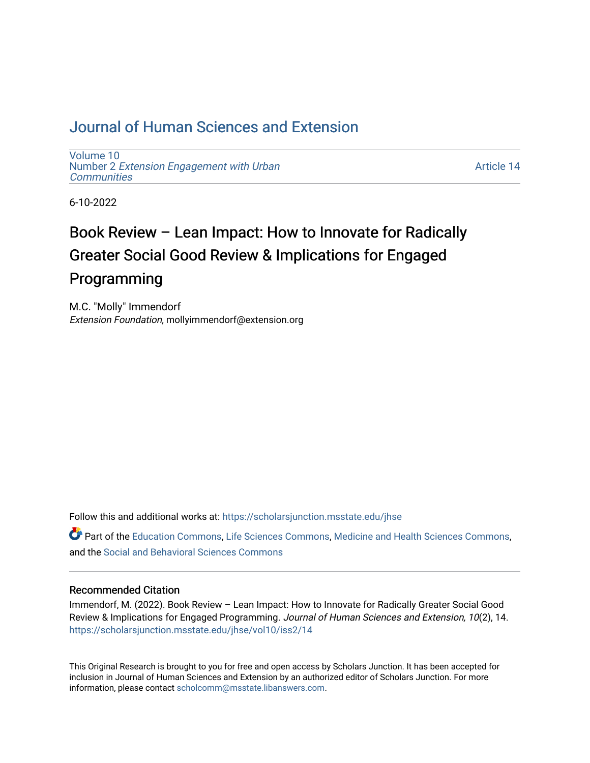## [Journal of Human Sciences and Extension](https://scholarsjunction.msstate.edu/jhse)

[Volume 10](https://scholarsjunction.msstate.edu/jhse/vol10) Number 2 [Extension Engagement with Urban](https://scholarsjunction.msstate.edu/jhse/vol10/iss2) **[Communities](https://scholarsjunction.msstate.edu/jhse/vol10/iss2)** 

[Article 14](https://scholarsjunction.msstate.edu/jhse/vol10/iss2/14) 

6-10-2022

# Book Review – Lean Impact: How to Innovate for Radically Greater Social Good Review & Implications for Engaged Programming

M.C. "Molly" Immendorf Extension Foundation, mollyimmendorf@extension.org

Follow this and additional works at: [https://scholarsjunction.msstate.edu/jhse](https://scholarsjunction.msstate.edu/jhse?utm_source=scholarsjunction.msstate.edu%2Fjhse%2Fvol10%2Fiss2%2F14&utm_medium=PDF&utm_campaign=PDFCoverPages)

Part of the [Education Commons](https://network.bepress.com/hgg/discipline/784?utm_source=scholarsjunction.msstate.edu%2Fjhse%2Fvol10%2Fiss2%2F14&utm_medium=PDF&utm_campaign=PDFCoverPages), [Life Sciences Commons](https://network.bepress.com/hgg/discipline/1016?utm_source=scholarsjunction.msstate.edu%2Fjhse%2Fvol10%2Fiss2%2F14&utm_medium=PDF&utm_campaign=PDFCoverPages), [Medicine and Health Sciences Commons](https://network.bepress.com/hgg/discipline/648?utm_source=scholarsjunction.msstate.edu%2Fjhse%2Fvol10%2Fiss2%2F14&utm_medium=PDF&utm_campaign=PDFCoverPages), and the [Social and Behavioral Sciences Commons](https://network.bepress.com/hgg/discipline/316?utm_source=scholarsjunction.msstate.edu%2Fjhse%2Fvol10%2Fiss2%2F14&utm_medium=PDF&utm_campaign=PDFCoverPages) 

#### Recommended Citation

Immendorf, M. (2022). Book Review – Lean Impact: How to Innovate for Radically Greater Social Good Review & Implications for Engaged Programming. Journal of Human Sciences and Extension, 10(2), 14. [https://scholarsjunction.msstate.edu/jhse/vol10/iss2/14](https://scholarsjunction.msstate.edu/jhse/vol10/iss2/14?utm_source=scholarsjunction.msstate.edu%2Fjhse%2Fvol10%2Fiss2%2F14&utm_medium=PDF&utm_campaign=PDFCoverPages) 

This Original Research is brought to you for free and open access by Scholars Junction. It has been accepted for inclusion in Journal of Human Sciences and Extension by an authorized editor of Scholars Junction. For more information, please contact [scholcomm@msstate.libanswers.com](mailto:scholcomm@msstate.libanswers.com).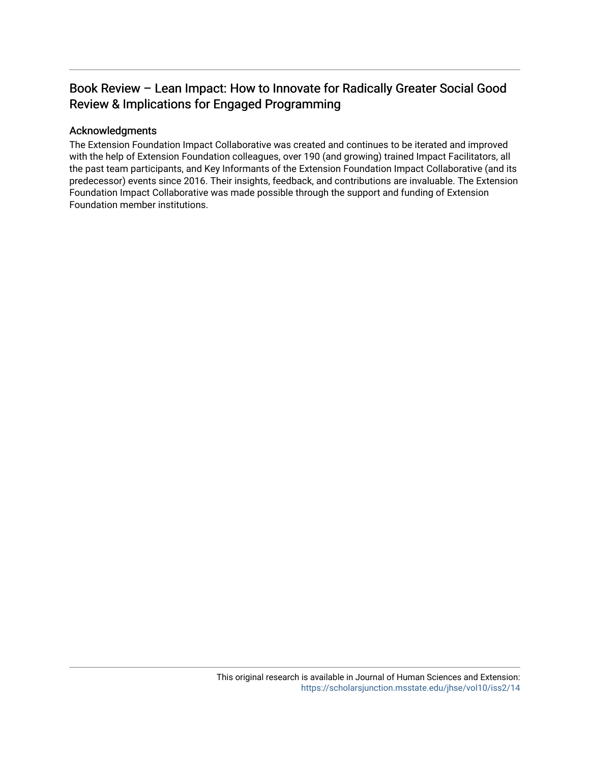### Book Review – Lean Impact: How to Innovate for Radically Greater Social Good Review & Implications for Engaged Programming

#### Acknowledgments

The Extension Foundation Impact Collaborative was created and continues to be iterated and improved with the help of Extension Foundation colleagues, over 190 (and growing) trained Impact Facilitators, all the past team participants, and Key Informants of the Extension Foundation Impact Collaborative (and its predecessor) events since 2016. Their insights, feedback, and contributions are invaluable. The Extension Foundation Impact Collaborative was made possible through the support and funding of Extension Foundation member institutions.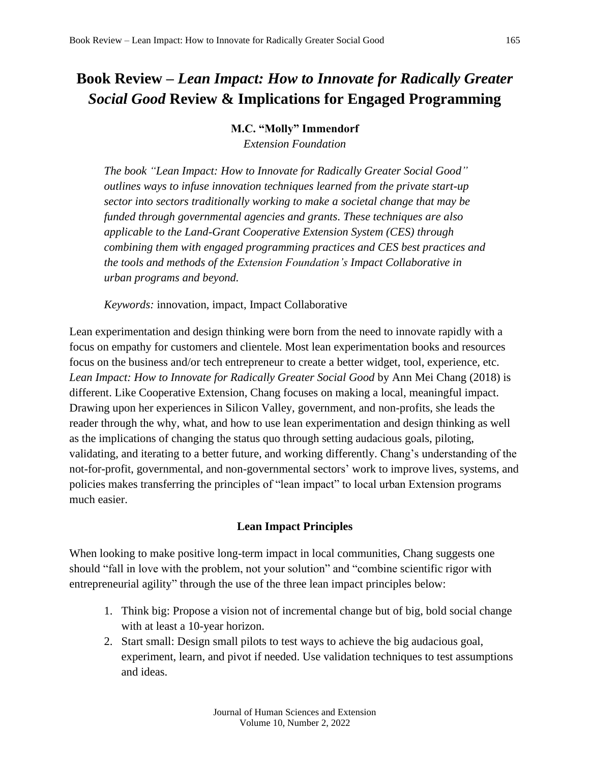## **Book Review –** *Lean Impact: How to Innovate for Radically Greater Social Good* **Review & Implications for Engaged Programming**

#### **M.C. "Molly" Immendorf**

*Extension Foundation*

*The book "Lean Impact: How to Innovate for Radically Greater Social Good" outlines ways to infuse innovation techniques learned from the private start-up sector into sectors traditionally working to make a societal change that may be funded through governmental agencies and grants. These techniques are also applicable to the Land-Grant Cooperative Extension System (CES) through combining them with engaged programming practices and CES best practices and the tools and methods of the Extension Foundation's Impact Collaborative in urban programs and beyond.* 

*Keywords:* innovation, impact, Impact Collaborative

Lean experimentation and design thinking were born from the need to innovate rapidly with a focus on empathy for customers and clientele. Most lean experimentation books and resources focus on the business and/or tech entrepreneur to create a better widget, tool, experience, etc. *Lean Impact: How to Innovate for Radically Greater Social Good* by Ann Mei Chang (2018) is different. Like Cooperative Extension, Chang focuses on making a local, meaningful impact. Drawing upon her experiences in Silicon Valley, government, and non-profits, she leads the reader through the why, what, and how to use lean experimentation and design thinking as well as the implications of changing the status quo through setting audacious goals, piloting, validating, and iterating to a better future, and working differently. Chang's understanding of the not-for-profit, governmental, and non-governmental sectors' work to improve lives, systems, and policies makes transferring the principles of "lean impact" to local urban Extension programs much easier.

#### **Lean Impact Principles**

When looking to make positive long-term impact in local communities, Chang suggests one should "fall in love with the problem, not your solution" and "combine scientific rigor with entrepreneurial agility" through the use of the three lean impact principles below:

- 1. Think big: Propose a vision not of incremental change but of big, bold social change with at least a 10-year horizon.
- 2. Start small: Design small pilots to test ways to achieve the big audacious goal, experiment, learn, and pivot if needed. Use validation techniques to test assumptions and ideas.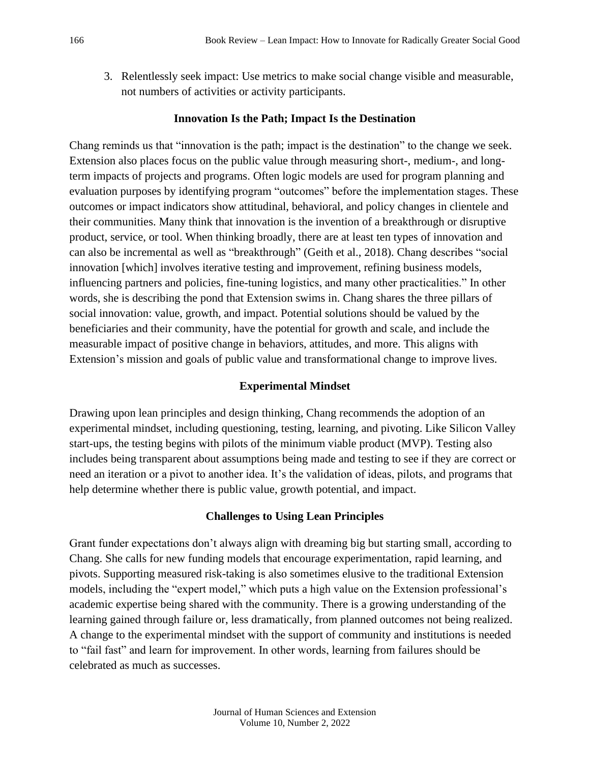3. Relentlessly seek impact: Use metrics to make social change visible and measurable, not numbers of activities or activity participants.

#### **Innovation Is the Path; Impact Is the Destination**

Chang reminds us that "innovation is the path; impact is the destination" to the change we seek. Extension also places focus on the public value through measuring short-, medium-, and longterm impacts of projects and programs. Often logic models are used for program planning and evaluation purposes by identifying program "outcomes" before the implementation stages. These outcomes or impact indicators show attitudinal, behavioral, and policy changes in clientele and their communities. Many think that innovation is the invention of a breakthrough or disruptive product, service, or tool. When thinking broadly, there are at least ten types of innovation and can also be incremental as well as "breakthrough" (Geith et al., 2018). Chang describes "social innovation [which] involves iterative testing and improvement, refining business models, influencing partners and policies, fine-tuning logistics, and many other practicalities." In other words, she is describing the pond that Extension swims in. Chang shares the three pillars of social innovation: value, growth, and impact. Potential solutions should be valued by the beneficiaries and their community, have the potential for growth and scale, and include the measurable impact of positive change in behaviors, attitudes, and more. This aligns with Extension's mission and goals of public value and transformational change to improve lives.

#### **Experimental Mindset**

Drawing upon lean principles and design thinking, Chang recommends the adoption of an experimental mindset, including questioning, testing, learning, and pivoting. Like Silicon Valley start-ups, the testing begins with pilots of the minimum viable product (MVP). Testing also includes being transparent about assumptions being made and testing to see if they are correct or need an iteration or a pivot to another idea. It's the validation of ideas, pilots, and programs that help determine whether there is public value, growth potential, and impact.

#### **Challenges to Using Lean Principles**

Grant funder expectations don't always align with dreaming big but starting small, according to Chang. She calls for new funding models that encourage experimentation, rapid learning, and pivots. Supporting measured risk-taking is also sometimes elusive to the traditional Extension models, including the "expert model," which puts a high value on the Extension professional's academic expertise being shared with the community. There is a growing understanding of the learning gained through failure or, less dramatically, from planned outcomes not being realized. A change to the experimental mindset with the support of community and institutions is needed to "fail fast" and learn for improvement. In other words, learning from failures should be celebrated as much as successes.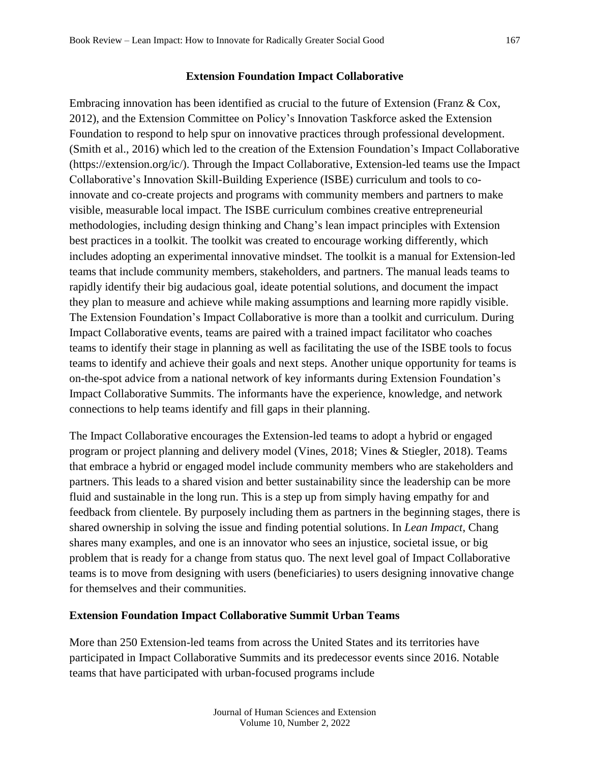#### **Extension Foundation Impact Collaborative**

Embracing innovation has been identified as crucial to the future of Extension (Franz & Cox, 2012), and the Extension Committee on Policy's Innovation Taskforce asked the Extension Foundation to respond to help spur on innovative practices through professional development. (Smith et al., 2016) which led to the creation of the Extension Foundation's Impact Collaborative (https://extension.org/ic/). Through the Impact Collaborative, Extension-led teams use the Impact Collaborative's Innovation Skill-Building Experience (ISBE) curriculum and tools to coinnovate and co-create projects and programs with community members and partners to make visible, measurable local impact. The ISBE curriculum combines creative entrepreneurial methodologies, including design thinking and Chang's lean impact principles with Extension best practices in a toolkit. The toolkit was created to encourage working differently, which includes adopting an experimental innovative mindset. The toolkit is a manual for Extension-led teams that include community members, stakeholders, and partners. The manual leads teams to rapidly identify their big audacious goal, ideate potential solutions, and document the impact they plan to measure and achieve while making assumptions and learning more rapidly visible. The Extension Foundation's Impact Collaborative is more than a toolkit and curriculum. During Impact Collaborative events, teams are paired with a trained impact facilitator who coaches teams to identify their stage in planning as well as facilitating the use of the ISBE tools to focus teams to identify and achieve their goals and next steps. Another unique opportunity for teams is on-the-spot advice from a national network of key informants during Extension Foundation's Impact Collaborative Summits. The informants have the experience, knowledge, and network connections to help teams identify and fill gaps in their planning.

The Impact Collaborative encourages the Extension-led teams to adopt a hybrid or engaged program or project planning and delivery model (Vines, 2018; Vines & Stiegler, 2018). Teams that embrace a hybrid or engaged model include community members who are stakeholders and partners. This leads to a shared vision and better sustainability since the leadership can be more fluid and sustainable in the long run. This is a step up from simply having empathy for and feedback from clientele. By purposely including them as partners in the beginning stages, there is shared ownership in solving the issue and finding potential solutions. In *Lean Impact*, Chang shares many examples, and one is an innovator who sees an injustice, societal issue, or big problem that is ready for a change from status quo. The next level goal of Impact Collaborative teams is to move from designing with users (beneficiaries) to users designing innovative change for themselves and their communities.

#### **Extension Foundation Impact Collaborative Summit Urban Teams**

More than 250 Extension-led teams from across the United States and its territories have participated in Impact Collaborative Summits and its predecessor events since 2016. Notable teams that have participated with urban-focused programs include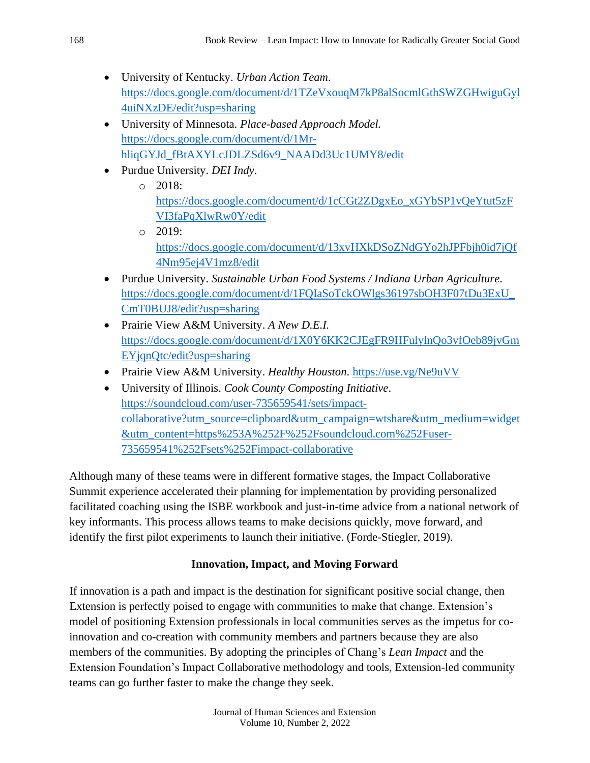- University of Kentucky. *Urban Action Team*. [https://docs.google.com/document/d/1TZeVxouqM7kP8alSocmlGthSWZGHwiguGyl](https://docs.google.com/document/d/1TZeVxouqM7kP8alSocmlGthSWZGHwiguGyl4uiNXzDE/edit?usp=sharing) [4uiNXzDE/edit?usp=sharing](https://docs.google.com/document/d/1TZeVxouqM7kP8alSocmlGthSWZGHwiguGyl4uiNXzDE/edit?usp=sharing)
- University of Minnesota. *Place-based Approach Model.*  [https://docs.google.com/document/d/1Mr](https://docs.google.com/document/d/1Mr-hliqGYJd_fBtAXYLcJDLZSd6v9_NAADd3Uc1UMY8/edit)[hliqGYJd\\_fBtAXYLcJDLZSd6v9\\_NAADd3Uc1UMY8/edit](https://docs.google.com/document/d/1Mr-hliqGYJd_fBtAXYLcJDLZSd6v9_NAADd3Uc1UMY8/edit)
- Purdue University. *DEI Indy*.
	- o 2018: [https://docs.google.com/document/d/1cCGt2ZDgxEo\\_xGYbSP1vQeYtut5zF](https://docs.google.com/document/d/1cCGt2ZDgxEo_xGYbSP1vQeYtut5zFVI3faPqXlwRw0Y/edit) [VI3faPqXlwRw0Y/edit](https://docs.google.com/document/d/1cCGt2ZDgxEo_xGYbSP1vQeYtut5zFVI3faPqXlwRw0Y/edit)
		- o 2019: [https://docs.google.com/document/d/13xvHXkDSoZNdGYo2hJPFbjh0id7jQf](https://docs.google.com/document/d/13xvHXkDSoZNdGYo2hJPFbjh0id7jQf4Nm95ej4V1mz8/edit) [4Nm95ej4V1mz8/edit](https://docs.google.com/document/d/13xvHXkDSoZNdGYo2hJPFbjh0id7jQf4Nm95ej4V1mz8/edit)
- Purdue University. *Sustainable Urban Food Systems / Indiana Urban Agriculture*. [https://docs.google.com/document/d/1FQIaSoTckOWlgs36197sbOH3F07tDu3ExU\\_](https://docs.google.com/document/d/1FQIaSoTckOWlgs36197sbOH3F07tDu3ExU_CmT0BUJ8/edit?usp=sharing) [CmT0BUJ8/edit?usp=sharing](https://docs.google.com/document/d/1FQIaSoTckOWlgs36197sbOH3F07tDu3ExU_CmT0BUJ8/edit?usp=sharing)
- Prairie View A&M University. *A New D.E.I.* [https://docs.google.com/document/d/1X0Y6KK2CJEgFR9HFulylnQo3vfOeb89jvGm](https://docs.google.com/document/d/1X0Y6KK2CJEgFR9HFulylnQo3vfOeb89jvGmEYjqnQtc/edit?usp=sharing) [EYjqnQtc/edit?usp=sharing](https://docs.google.com/document/d/1X0Y6KK2CJEgFR9HFulylnQo3vfOeb89jvGmEYjqnQtc/edit?usp=sharing)
- Prairie View A&M University. *Healthy Houston*. <https://use.vg/Ne9uVV>
- University of Illinois. *Cook County Composting Initiative*. [https://soundcloud.com/user-735659541/sets/impact](https://soundcloud.com/user-735659541/sets/impact-collaborative?utm_source=clipboard&utm_campaign=wtshare&utm_medium=widget&utm_content=https%253A%252F%252Fsoundcloud.com%252Fuser-735659541%252Fsets%252Fimpact-collaborative)[collaborative?utm\\_source=clipboard&utm\\_campaign=wtshare&utm\\_medium=widget](https://soundcloud.com/user-735659541/sets/impact-collaborative?utm_source=clipboard&utm_campaign=wtshare&utm_medium=widget&utm_content=https%253A%252F%252Fsoundcloud.com%252Fuser-735659541%252Fsets%252Fimpact-collaborative) [&utm\\_content=https%253A%252F%252Fsoundcloud.com%252Fuser-](https://soundcloud.com/user-735659541/sets/impact-collaborative?utm_source=clipboard&utm_campaign=wtshare&utm_medium=widget&utm_content=https%253A%252F%252Fsoundcloud.com%252Fuser-735659541%252Fsets%252Fimpact-collaborative)[735659541%252Fsets%252Fimpact-collaborative](https://soundcloud.com/user-735659541/sets/impact-collaborative?utm_source=clipboard&utm_campaign=wtshare&utm_medium=widget&utm_content=https%253A%252F%252Fsoundcloud.com%252Fuser-735659541%252Fsets%252Fimpact-collaborative)

Although many of these teams were in different formative stages, the Impact Collaborative Summit experience accelerated their planning for implementation by providing personalized facilitated coaching using the ISBE workbook and just-in-time advice from a national network of key informants. This process allows teams to make decisions quickly, move forward, and identify the first pilot experiments to launch their initiative. (Forde-Stiegler, 2019).

### **Innovation, Impact, and Moving Forward**

If innovation is a path and impact is the destination for significant positive social change, then Extension is perfectly poised to engage with communities to make that change. Extension's model of positioning Extension professionals in local communities serves as the impetus for coinnovation and co-creation with community members and partners because they are also members of the communities. By adopting the principles of Chang's *Lean Impact* and the Extension Foundation's Impact Collaborative methodology and tools, Extension-led community teams can go further faster to make the change they seek.